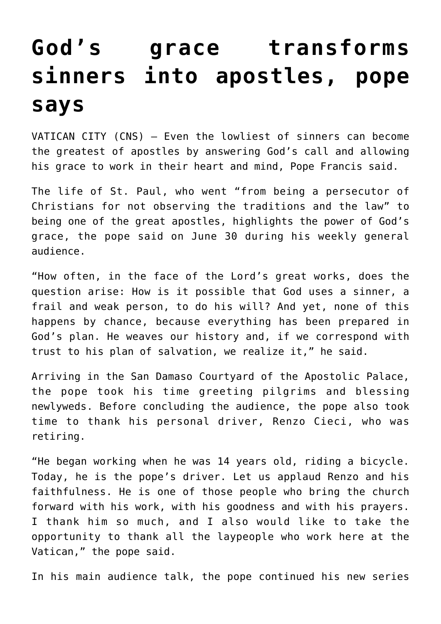## **[God's grace transforms](https://www.osvnews.com/2021/06/30/gods-grace-transforms-sinners-into-apostles-pope-says/) [sinners into apostles, pope](https://www.osvnews.com/2021/06/30/gods-grace-transforms-sinners-into-apostles-pope-says/) [says](https://www.osvnews.com/2021/06/30/gods-grace-transforms-sinners-into-apostles-pope-says/)**

VATICAN CITY (CNS) — Even the lowliest of sinners can become the greatest of apostles by answering God's call and allowing his grace to work in their heart and mind, Pope Francis said.

The life of St. Paul, who went "from being a persecutor of Christians for not observing the traditions and the law" to being one of the great apostles, highlights the power of God's grace, the pope said on June 30 during his weekly general audience.

"How often, in the face of the Lord's great works, does the question arise: How is it possible that God uses a sinner, a frail and weak person, to do his will? And yet, none of this happens by chance, because everything has been prepared in God's plan. He weaves our history and, if we correspond with trust to his plan of salvation, we realize it," he said.

Arriving in the San Damaso Courtyard of the Apostolic Palace, the pope took his time greeting pilgrims and blessing newlyweds. Before concluding the audience, the pope also took time to thank his personal driver, Renzo Cieci, who was retiring.

"He began working when he was 14 years old, riding a bicycle. Today, he is the pope's driver. Let us applaud Renzo and his faithfulness. He is one of those people who bring the church forward with his work, with his goodness and with his prayers. I thank him so much, and I also would like to take the opportunity to thank all the laypeople who work here at the Vatican," the pope said.

In his main audience talk, the pope continued his new series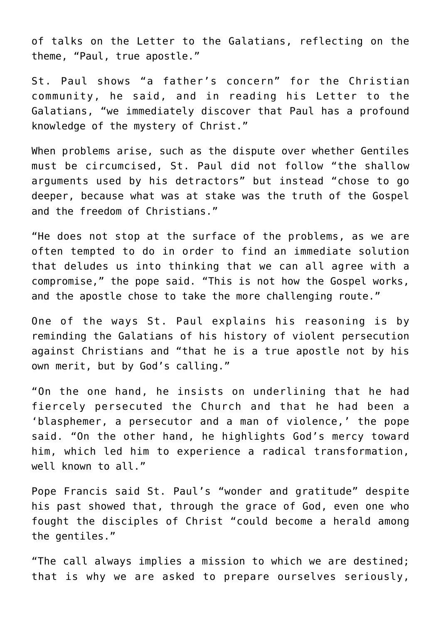of talks on the Letter to the Galatians, reflecting on the theme, "Paul, true apostle."

St. Paul shows "a father's concern" for the Christian community, he said, and in reading his Letter to the Galatians, "we immediately discover that Paul has a profound knowledge of the mystery of Christ."

When problems arise, such as the dispute over whether Gentiles must be circumcised, St. Paul did not follow "the shallow arguments used by his detractors" but instead "chose to go deeper, because what was at stake was the truth of the Gospel and the freedom of Christians."

"He does not stop at the surface of the problems, as we are often tempted to do in order to find an immediate solution that deludes us into thinking that we can all agree with a compromise," the pope said. "This is not how the Gospel works, and the apostle chose to take the more challenging route."

One of the ways St. Paul explains his reasoning is by reminding the Galatians of his history of violent persecution against Christians and "that he is a true apostle not by his own merit, but by God's calling."

"On the one hand, he insists on underlining that he had fiercely persecuted the Church and that he had been a 'blasphemer, a persecutor and a man of violence,' the pope said. "On the other hand, he highlights God's mercy toward him, which led him to experience a radical transformation, well known to all."

Pope Francis said St. Paul's "wonder and gratitude" despite his past showed that, through the grace of God, even one who fought the disciples of Christ "could become a herald among the gentiles."

"The call always implies a mission to which we are destined; that is why we are asked to prepare ourselves seriously,